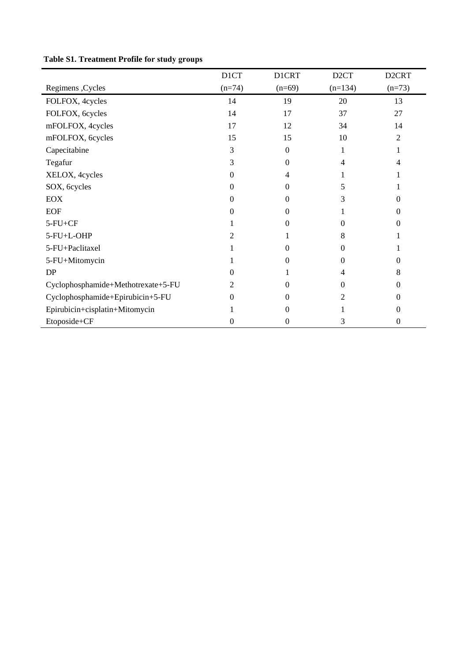|                                    | D1CT     | <b>DICRT</b> | D <sub>2</sub> CT | D <sub>2</sub> CRT |
|------------------------------------|----------|--------------|-------------------|--------------------|
| Regimens, Cycles                   | $(n=74)$ | $(n=69)$     | $(n=134)$         | $(n=73)$           |
| FOLFOX, 4cycles                    | 14       | 19           | 20                | 13                 |
| FOLFOX, 6cycles                    | 14       | 17           | 37                | 27                 |
| mFOLFOX, 4cycles                   | 17       | 12           | 34                | 14                 |
| mFOLFOX, 6cycles                   | 15       | 15           | 10                | 2                  |
| Capecitabine                       | 3        | $\Omega$     | 1                 |                    |
| Tegafur                            | 3        | 0            | 4                 | 4                  |
| XELOX, 4cycles                     | 0        | 4            |                   |                    |
| SOX, 6cycles                       | $\Omega$ | $\Omega$     | 5                 |                    |
| <b>EOX</b>                         | $\Omega$ | $\Omega$     | 3                 | 0                  |
| <b>EOF</b>                         | 0        | 0            |                   | $\theta$           |
| $5-FU+CF$                          |          | 0            | $\Omega$          | 0                  |
| 5-FU+L-OHP                         |          |              | 8                 |                    |
| 5-FU+Paclitaxel                    |          | 0            | 0                 |                    |
| 5-FU+Mitomycin                     |          | $\Omega$     | $\Omega$          | 0                  |
| DP                                 | $\Omega$ |              | 4                 | 8                  |
| Cyclophosphamide+Methotrexate+5-FU | 2        | $\Omega$     | $\Omega$          | $^{(1)}$           |
| Cyclophosphamide+Epirubicin+5-FU   | $\Omega$ | $\Omega$     | 2                 | $\theta$           |
| Epirubicin+cisplatin+Mitomycin     |          | 0            |                   | 0                  |
| Etoposide+CF                       | 0        | 0            | 3                 | 0                  |

## **Table S1. Treatment Profile for study groups**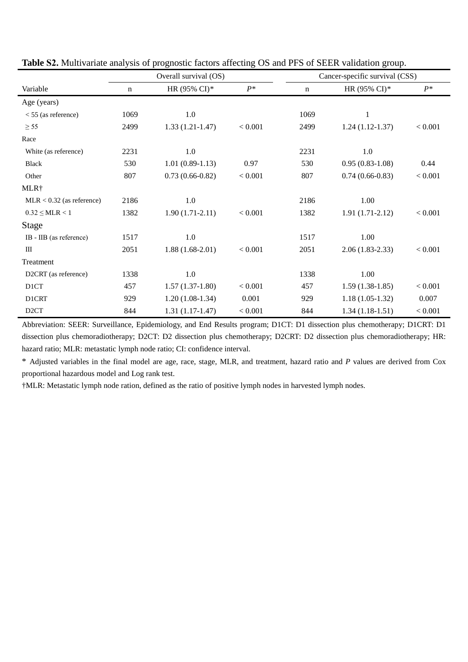|                             |             | Overall survival (OS) | Cancer-specific survival (CSS) |      |                   |         |
|-----------------------------|-------------|-----------------------|--------------------------------|------|-------------------|---------|
| Variable                    | $\mathbf n$ | HR (95% CI)*          | $P^*$                          | n    | HR (95% CI)*      | $P^*$   |
| Age (years)                 |             |                       |                                |      |                   |         |
| $<$ 55 (as reference)       | 1069        | 1.0                   |                                | 1069 | 1                 |         |
| $\geq$ 55                   | 2499        | $1.33(1.21-1.47)$     | < 0.001                        | 2499 | $1.24(1.12-1.37)$ | < 0.001 |
| Race                        |             |                       |                                |      |                   |         |
| White (as reference)        | 2231        | 1.0                   |                                | 2231 | 1.0               |         |
| <b>Black</b>                | 530         | $1.01(0.89-1.13)$     | 0.97                           | 530  | $0.95(0.83-1.08)$ | 0.44    |
| Other                       | 807         | $0.73(0.66-0.82)$     | < 0.001                        | 807  | $0.74(0.66-0.83)$ | < 0.001 |
| MLR <sup>+</sup>            |             |                       |                                |      |                   |         |
| $MLR < 0.32$ (as reference) | 2186        | 1.0                   |                                | 2186 | 1.00              |         |
| $0.32 \leq MLR < 1$         | 1382        | $1.90(1.71-2.11)$     | < 0.001                        | 1382 | $1.91(1.71-2.12)$ | < 0.001 |
| <b>Stage</b>                |             |                       |                                |      |                   |         |
| IB - IIB (as reference)     | 1517        | 1.0                   |                                | 1517 | 1.00              |         |
| $\mathbf{III}$              | 2051        | $1.88(1.68-2.01)$     | < 0.001                        | 2051 | $2.06(1.83-2.33)$ | < 0.001 |
| Treatment                   |             |                       |                                |      |                   |         |
| D2CRT (as reference)        | 1338        | 1.0                   |                                | 1338 | 1.00              |         |
| D <sub>1</sub> CT           | 457         | $1.57(1.37-1.80)$     | < 0.001                        | 457  | $1.59(1.38-1.85)$ | < 0.001 |
| D1CRT                       | 929         | $1.20(1.08-1.34)$     | 0.001                          | 929  | $1.18(1.05-1.32)$ | 0.007   |
| D <sub>2</sub> CT           | 844         | $1.31(1.17-1.47)$     | < 0.001                        | 844  | $1.34(1.18-1.51)$ | < 0.001 |

**Table S2.** Multivariate analysis of prognostic factors affecting OS and PFS of SEER validation group.

Abbreviation: SEER: Surveillance, Epidemiology, and End Results program; D1CT: D1 dissection plus chemotherapy; D1CRT: D1 dissection plus chemoradiotherapy; D2CT: D2 dissection plus chemotherapy; D2CRT: D2 dissection plus chemoradiotherapy; HR: hazard ratio; MLR: metastatic lymph node ratio; CI: confidence interval.

\* Adjusted variables in the final model are age, race, stage, MLR, and treatment, hazard ratio and *P* values are derived from Cox proportional hazardous model and Log rank test.

†MLR: Metastatic lymph node ration, defined as the ratio of positive lymph nodes in harvested lymph nodes.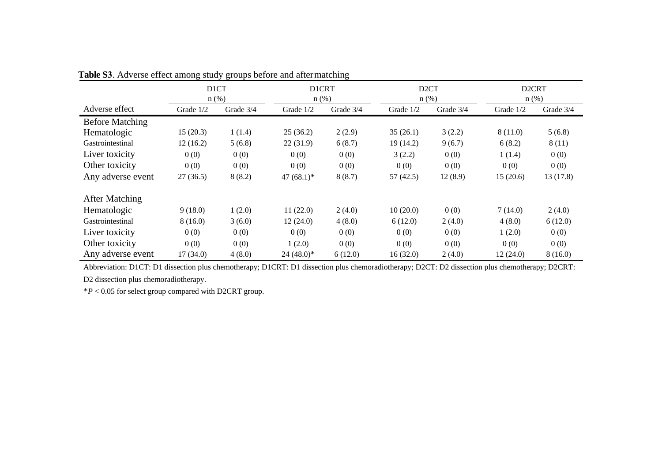|                        | ັັ<br>D <sub>1</sub> CT<br>$n$ (%) |           | ັ<br><b>D1CRT</b><br>$n$ (%) |           | D <sub>2</sub> CT<br>$n$ (%) |           | D <sub>2</sub> CRT<br>$n$ (%) |           |
|------------------------|------------------------------------|-----------|------------------------------|-----------|------------------------------|-----------|-------------------------------|-----------|
| Adverse effect         | Grade 1/2                          | Grade 3/4 | Grade 1/2                    | Grade 3/4 | Grade 1/2                    | Grade 3/4 | Grade 1/2                     | Grade 3/4 |
| <b>Before Matching</b> |                                    |           |                              |           |                              |           |                               |           |
| Hematologic            | 15(20.3)                           | 1(1.4)    | 25(36.2)                     | 2(2.9)    | 35(26.1)                     | 3(2.2)    | 8(11.0)                       | 5(6.8)    |
| Gastrointestinal       | 12(16.2)                           | 5(6.8)    | 22(31.9)                     | 6(8.7)    | 19 (14.2)                    | 9(6.7)    | 6(8.2)                        | 8(11)     |
| Liver toxicity         | 0(0)                               | 0(0)      | 0(0)                         | 0(0)      | 3(2.2)                       | 0(0)      | 1(1.4)                        | 0(0)      |
| Other toxicity         | 0(0)                               | 0(0)      | 0(0)                         | 0(0)      | 0(0)                         | 0(0)      | 0(0)                          | 0(0)      |
| Any adverse event      | 27(36.5)                           | 8(8.2)    | 47 $(68.1)$ <sup>*</sup>     | 8(8.7)    | 57(42.5)                     | 12(8.9)   | 15(20.6)                      | 13(17.8)  |
| <b>After Matching</b>  |                                    |           |                              |           |                              |           |                               |           |
| Hematologic            | 9(18.0)                            | 1(2.0)    | 11(22.0)                     | 2(4.0)    | 10(20.0)                     | 0(0)      | 7(14.0)                       | 2(4.0)    |
| Gastrointestinal       | 8(16.0)                            | 3(6.0)    | 12(24.0)                     | 4(8.0)    | 6(12.0)                      | 2(4.0)    | 4(8.0)                        | 6(12.0)   |
| Liver toxicity         | 0(0)                               | 0(0)      | 0(0)                         | 0(0)      | 0(0)                         | 0(0)      | 1(2.0)                        | 0(0)      |
| Other toxicity         | 0(0)                               | 0(0)      | 1(2.0)                       | 0(0)      | 0(0)                         | 0(0)      | 0(0)                          | 0(0)      |
| Any adverse event      | 17(34.0)                           | 4(8.0)    | $24(48.0)^*$                 | 6(12.0)   | 16(32.0)                     | 2(4.0)    | 12(24.0)                      | 8(16.0)   |

**Table S3**. Adverse effect among study groups before and after matching

Abbreviation: D1CT: D1 dissection plus chemotherapy; D1CRT: D1 dissection plus chemoradiotherapy; D2CT: D2 dissection plus chemotherapy; D2CRT:

D2 dissection plus chemoradiotherapy.

\**P* < 0.05 for select group compared with D2CRT group.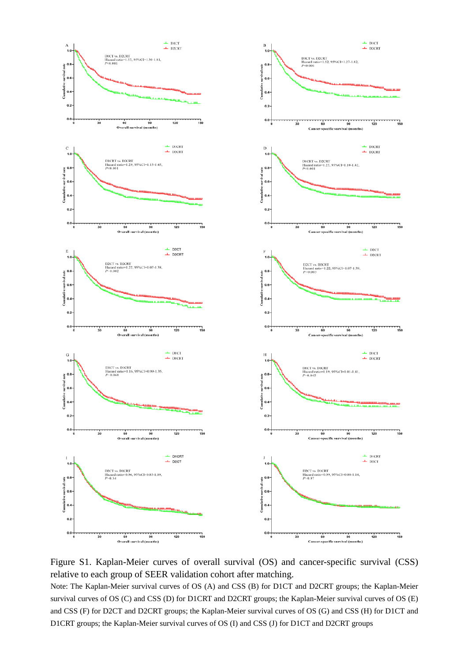

Figure S1. Kaplan-Meier curves of overall survival (OS) and cancer-specific survival (CSS) relative to each group of SEER validation cohort after matching.

Note: The Kaplan-Meier survival curves of OS (A) and CSS (B) for D1CT and D2CRT groups; the Kaplan-Meier survival curves of OS (C) and CSS (D) for D1CRT and D2CRT groups; the Kaplan-Meier survival curves of OS (E) and CSS (F) for D2CT and D2CRT groups; the Kaplan-Meier survival curves of OS (G) and CSS (H) for D1CT and D1CRT groups; the Kaplan-Meier survival curves of OS (I) and CSS (J) for D1CT and D2CRT groups